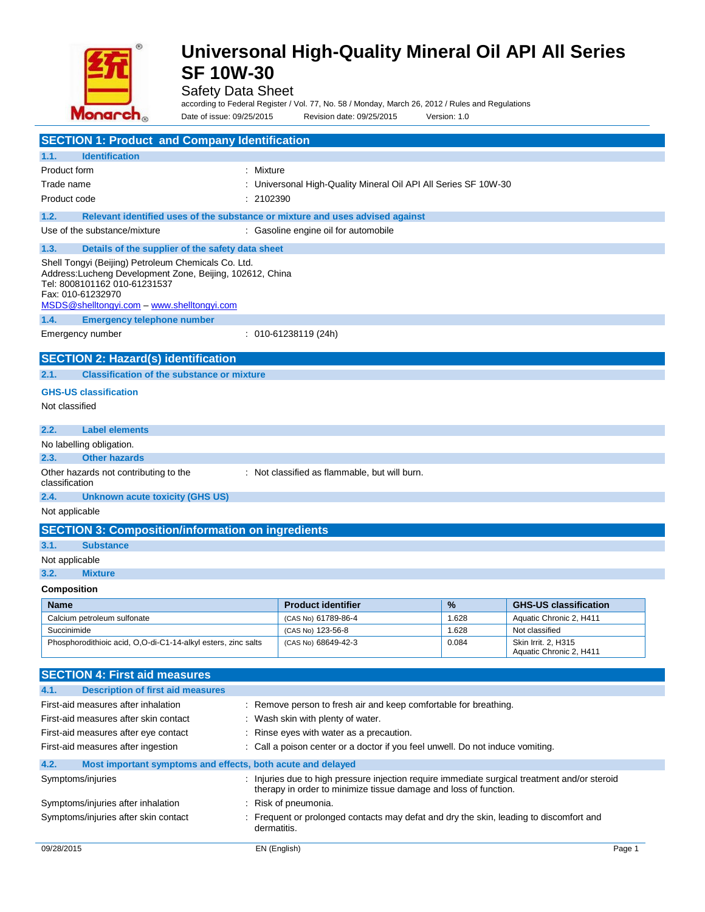

## Safety Data Sheet

according to Federal Register / Vol. 77, No. 58 / Monday, March 26, 2012 / Rules and Regulations Date of issue: 09/25/2015 Revision date: 09/25/2015 Version: 1.0

| <b>SECTION 1: Product and Company Identification</b>                                                                                                                                                                |                                                                  |                                                                                |       |                                                |  |
|---------------------------------------------------------------------------------------------------------------------------------------------------------------------------------------------------------------------|------------------------------------------------------------------|--------------------------------------------------------------------------------|-------|------------------------------------------------|--|
| <b>Identification</b><br>1.1.                                                                                                                                                                                       |                                                                  |                                                                                |       |                                                |  |
| Product form                                                                                                                                                                                                        | : Mixture                                                        |                                                                                |       |                                                |  |
| Trade name                                                                                                                                                                                                          |                                                                  | : Universonal High-Quality Mineral Oil API All Series SF 10W-30                |       |                                                |  |
| Product code                                                                                                                                                                                                        | : 2102390                                                        |                                                                                |       |                                                |  |
| 1.2.<br>Relevant identified uses of the substance or mixture and uses advised against                                                                                                                               |                                                                  |                                                                                |       |                                                |  |
| Use of the substance/mixture                                                                                                                                                                                        |                                                                  | : Gasoline engine oil for automobile                                           |       |                                                |  |
| 1.3.<br>Details of the supplier of the safety data sheet                                                                                                                                                            |                                                                  |                                                                                |       |                                                |  |
| Shell Tongyi (Beijing) Petroleum Chemicals Co. Ltd.<br>Address: Lucheng Development Zone, Beijing, 102612, China<br>Tel: 8008101162 010-61231537<br>Fax: 010-61232970<br>MSDS@shelltongyi.com – www.shelltongyi.com |                                                                  |                                                                                |       |                                                |  |
| <b>Emergency telephone number</b><br>1.4.                                                                                                                                                                           |                                                                  |                                                                                |       |                                                |  |
| Emergency number                                                                                                                                                                                                    |                                                                  | $: 010 - 61238119(24h)$                                                        |       |                                                |  |
| <b>SECTION 2: Hazard(s) identification</b>                                                                                                                                                                          |                                                                  |                                                                                |       |                                                |  |
| <b>Classification of the substance or mixture</b><br>2.1.                                                                                                                                                           |                                                                  |                                                                                |       |                                                |  |
| <b>GHS-US classification</b>                                                                                                                                                                                        |                                                                  |                                                                                |       |                                                |  |
| Not classified                                                                                                                                                                                                      |                                                                  |                                                                                |       |                                                |  |
| 2.2.<br><b>Label elements</b>                                                                                                                                                                                       |                                                                  |                                                                                |       |                                                |  |
| No labelling obligation.                                                                                                                                                                                            |                                                                  |                                                                                |       |                                                |  |
| <b>Other hazards</b><br>2.3.                                                                                                                                                                                        |                                                                  |                                                                                |       |                                                |  |
| Other hazards not contributing to the<br>classification                                                                                                                                                             |                                                                  | : Not classified as flammable, but will burn.                                  |       |                                                |  |
| 2.4.<br><b>Unknown acute toxicity (GHS US)</b>                                                                                                                                                                      |                                                                  |                                                                                |       |                                                |  |
| Not applicable                                                                                                                                                                                                      |                                                                  |                                                                                |       |                                                |  |
| <b>SECTION 3: Composition/information on ingredients</b>                                                                                                                                                            |                                                                  |                                                                                |       |                                                |  |
| 3.1.<br><b>Substance</b>                                                                                                                                                                                            |                                                                  |                                                                                |       |                                                |  |
| Not applicable                                                                                                                                                                                                      |                                                                  |                                                                                |       |                                                |  |
| 3.2.<br><b>Mixture</b>                                                                                                                                                                                              |                                                                  |                                                                                |       |                                                |  |
| Composition                                                                                                                                                                                                         |                                                                  |                                                                                |       |                                                |  |
| <b>Name</b>                                                                                                                                                                                                         |                                                                  | <b>Product identifier</b>                                                      | %     | <b>GHS-US classification</b>                   |  |
| Calcium petroleum sulfonate                                                                                                                                                                                         |                                                                  | (CAS No) 61789-86-4                                                            | 1.628 | Aquatic Chronic 2, H411                        |  |
| Succinimide                                                                                                                                                                                                         |                                                                  | (CAS No) 123-56-8                                                              | 1.628 | Not classified                                 |  |
| Phosphorodithioic acid, O,O-di-C1-14-alkyl esters, zinc salts                                                                                                                                                       |                                                                  | (CAS No) 68649-42-3                                                            | 0.084 | Skin Irrit. 2, H315<br>Aquatic Chronic 2, H411 |  |
| <b>SECTION 4: First aid measures</b>                                                                                                                                                                                |                                                                  |                                                                                |       |                                                |  |
| <b>Description of first aid measures</b><br>4.1.                                                                                                                                                                    |                                                                  |                                                                                |       |                                                |  |
| First-aid measures after inhalation                                                                                                                                                                                 | : Remove person to fresh air and keep comfortable for breathing. |                                                                                |       |                                                |  |
| First-aid measures after skin contact<br>: Wash skin with plenty of water.                                                                                                                                          |                                                                  |                                                                                |       |                                                |  |
| First-aid measures after eye contact<br>: Rinse eyes with water as a precaution.                                                                                                                                    |                                                                  |                                                                                |       |                                                |  |
| First-aid measures after ingestion                                                                                                                                                                                  |                                                                  | : Call a poison center or a doctor if you feel unwell. Do not induce vomiting. |       |                                                |  |
| 4.2.                                                                                                                                                                                                                | Most important symptoms and effects, both acute and delayed      |                                                                                |       |                                                |  |
| : Injuries due to high pressure injection require immediate surgical treatment and/or steroid<br>Symptoms/injuries<br>therapy in order to minimize tissue damage and loss of function.                              |                                                                  |                                                                                |       |                                                |  |

Symptoms/injuries after inhalation : Risk of pneumonia.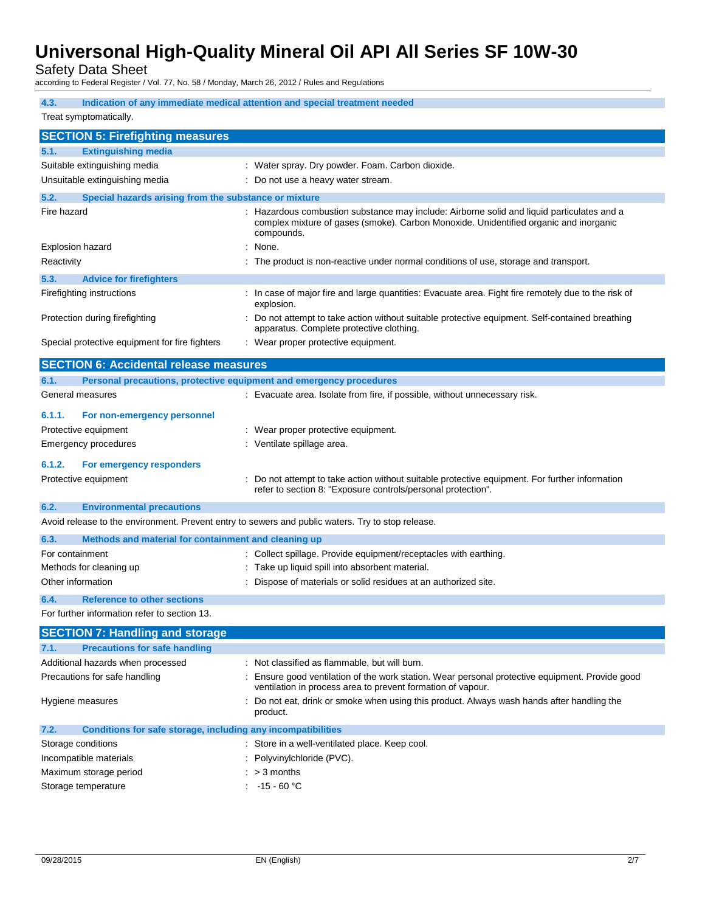Safety Data Sheet

| according to Federal Register / Vol. 77, No. 58 / Monday, March 26, 2012 / Rules and Regulations |                                                                                                                                                                                                   |
|--------------------------------------------------------------------------------------------------|---------------------------------------------------------------------------------------------------------------------------------------------------------------------------------------------------|
| 4.3.                                                                                             | Indication of any immediate medical attention and special treatment needed                                                                                                                        |
| Treat symptomatically.                                                                           |                                                                                                                                                                                                   |
| <b>SECTION 5: Firefighting measures</b>                                                          |                                                                                                                                                                                                   |
| 5.1.<br><b>Extinguishing media</b>                                                               |                                                                                                                                                                                                   |
| Suitable extinguishing media                                                                     | : Water spray. Dry powder. Foam. Carbon dioxide.                                                                                                                                                  |
| Unsuitable extinguishing media                                                                   | : Do not use a heavy water stream.                                                                                                                                                                |
| 5.2.<br>Special hazards arising from the substance or mixture                                    |                                                                                                                                                                                                   |
| Fire hazard                                                                                      | : Hazardous combustion substance may include: Airborne solid and liquid particulates and a<br>complex mixture of gases (smoke). Carbon Monoxide. Unidentified organic and inorganic<br>compounds. |
| <b>Explosion hazard</b>                                                                          | : None.                                                                                                                                                                                           |
| Reactivity                                                                                       | : The product is non-reactive under normal conditions of use, storage and transport.                                                                                                              |
| 5.3.<br><b>Advice for firefighters</b>                                                           |                                                                                                                                                                                                   |
| Firefighting instructions                                                                        | : In case of major fire and large quantities: Evacuate area. Fight fire remotely due to the risk of<br>explosion.                                                                                 |
| Protection during firefighting                                                                   | Do not attempt to take action without suitable protective equipment. Self-contained breathing<br>apparatus. Complete protective clothing.                                                         |
| Special protective equipment for fire fighters                                                   | : Wear proper protective equipment.                                                                                                                                                               |
| <b>SECTION 6: Accidental release measures</b>                                                    |                                                                                                                                                                                                   |
| 6.1.                                                                                             | Personal precautions, protective equipment and emergency procedures                                                                                                                               |
| General measures                                                                                 | : Evacuate area. Isolate from fire, if possible, without unnecessary risk.                                                                                                                        |
| 6.1.1.<br>For non-emergency personnel                                                            |                                                                                                                                                                                                   |
| Protective equipment                                                                             | : Wear proper protective equipment.                                                                                                                                                               |
| <b>Emergency procedures</b>                                                                      | : Ventilate spillage area.                                                                                                                                                                        |
| 6.1.2.<br>For emergency responders                                                               |                                                                                                                                                                                                   |
| Protective equipment                                                                             | : Do not attempt to take action without suitable protective equipment. For further information                                                                                                    |
|                                                                                                  | refer to section 8: "Exposure controls/personal protection".                                                                                                                                      |
| 6.2.<br><b>Environmental precautions</b>                                                         |                                                                                                                                                                                                   |
|                                                                                                  | Avoid release to the environment. Prevent entry to sewers and public waters. Try to stop release.                                                                                                 |
| 6.3.<br>Methods and material for containment and cleaning up                                     |                                                                                                                                                                                                   |
| For containment                                                                                  | : Collect spillage. Provide equipment/receptacles with earthing.                                                                                                                                  |
| Methods for cleaning up                                                                          | : Take up liquid spill into absorbent material.                                                                                                                                                   |
| Other information                                                                                | : Dispose of materials or solid residues at an authorized site.                                                                                                                                   |
| 6.4.<br><b>Reference to other sections</b>                                                       |                                                                                                                                                                                                   |
| For further information refer to section 13.                                                     |                                                                                                                                                                                                   |
| <b>SECTION 7: Handling and storage</b>                                                           |                                                                                                                                                                                                   |
| <b>Precautions for safe handling</b><br>7.1.                                                     |                                                                                                                                                                                                   |
| Additional hazards when processed                                                                | : Not classified as flammable, but will burn.                                                                                                                                                     |
| Precautions for safe handling                                                                    | Ensure good ventilation of the work station. Wear personal protective equipment. Provide good<br>ventilation in process area to prevent formation of vapour.                                      |

| Hygiene measures   |                                                              | : Do not eat, drink or smoke when using this product. Always wash hands after handling the<br>product. |
|--------------------|--------------------------------------------------------------|--------------------------------------------------------------------------------------------------------|
| 7.2.               | Conditions for safe storage, including any incompatibilities |                                                                                                        |
| Storage conditions |                                                              | : Store in a well-ventilated place. Keep cool.                                                         |
|                    | Incompatible materials                                       | : Polyvinylchloride (PVC).                                                                             |

| Maximum storage period | $: > 3$ months |
|------------------------|----------------|
|------------------------|----------------|

Storage temperature  $\overline{C}$  = 15 - 60 °C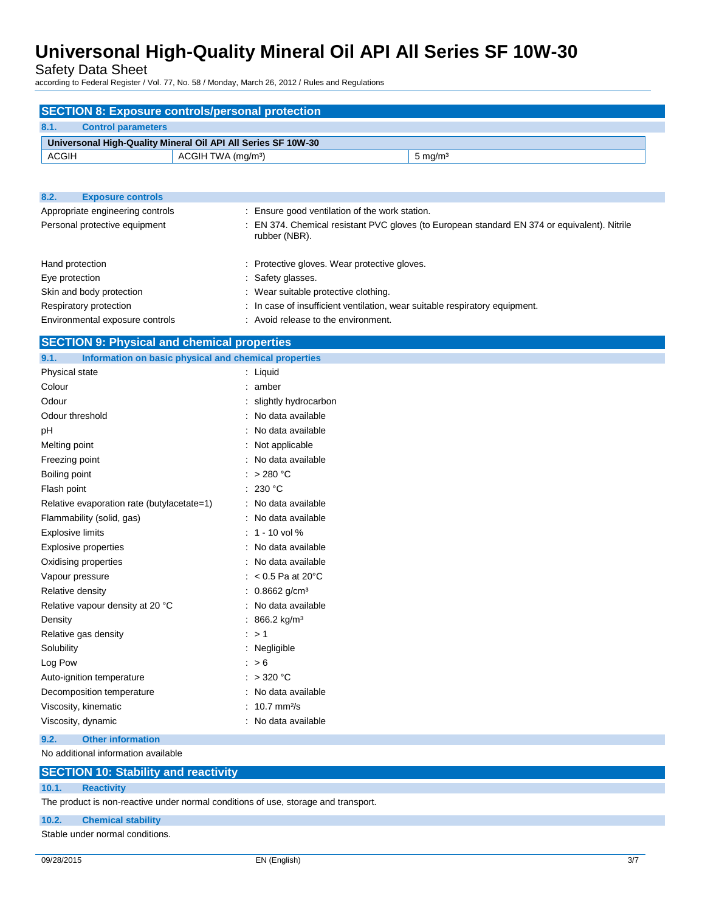Safety Data Sheet

according to Federal Register / Vol. 77, No. 58 / Monday, March 26, 2012 / Rules and Regulations

|                                   | <b>SECTION 8: Exposure controls/personal protection</b>       |                                                                                              |
|-----------------------------------|---------------------------------------------------------------|----------------------------------------------------------------------------------------------|
| 8.1.<br><b>Control parameters</b> |                                                               |                                                                                              |
|                                   | Universonal High-Quality Mineral Oil API All Series SF 10W-30 |                                                                                              |
| <b>ACGIH</b>                      | ACGIH TWA (mg/m <sup>3</sup> )                                | $5 \text{ mg/m}^3$                                                                           |
|                                   |                                                               |                                                                                              |
|                                   |                                                               |                                                                                              |
| 8.2.<br><b>Exposure controls</b>  |                                                               |                                                                                              |
| Appropriate engineering controls  | : Ensure good ventilation of the work station.                |                                                                                              |
| Personal protective equipment     | rubber (NBR).                                                 | : EN 374. Chemical resistant PVC gloves (to European standard EN 374 or equivalent). Nitrile |
| Hand protection                   | : Protective gloves. Wear protective gloves.                  |                                                                                              |
| Eye protection                    | : Safety glasses.                                             |                                                                                              |
| Skin and body protection          | : Wear suitable protective clothing.                          |                                                                                              |

| Respiratory protection | . In case of insufficient ventilation, wear suitable respiratory equipment. |
|------------------------|-----------------------------------------------------------------------------|
|                        |                                                                             |

Environmental exposure controls : Avoid release to the environment.

## **SECTION 9: Physical and chemical properties**

| 9.1.<br>Information on basic physical and chemical properties |                               |
|---------------------------------------------------------------|-------------------------------|
| Physical state                                                | $:$ Liquid                    |
| Colour                                                        | amber                         |
| Odour                                                         | slightly hydrocarbon          |
| Odour threshold                                               | No data available             |
| рH                                                            | No data available             |
| Melting point                                                 | Not applicable                |
| Freezing point                                                | No data available             |
| Boiling point                                                 | >280 °C                       |
| Flash point                                                   | : 230 °C                      |
| Relative evaporation rate (butylacetate=1)                    | : No data available           |
| Flammability (solid, gas)                                     | : No data available           |
| <b>Explosive limits</b>                                       | $: 1 - 10$ vol %              |
| <b>Explosive properties</b>                                   | No data available             |
| Oxidising properties                                          | No data available             |
| Vapour pressure                                               | $< 0.5$ Pa at 20 $^{\circ}$ C |
| Relative density                                              | $0.8662$ g/cm <sup>3</sup>    |
| Relative vapour density at 20 °C                              | No data available             |
| Density                                                       | 866.2 kg/m <sup>3</sup>       |
| Relative gas density                                          | $\therefore$ > 1              |
| Solubility                                                    | : Negligible                  |
| Log Pow                                                       | : > 6                         |
| Auto-ignition temperature                                     | : $>320$ °C                   |
| Decomposition temperature                                     | No data available             |
| Viscosity, kinematic                                          | $10.7$ mm $2/s$               |
| Viscosity, dynamic                                            | No data available             |
| 9.2.<br><b>Other information</b>                              |                               |
| No additional information available                           |                               |

| <b>SECTION 10: Stability and reactivity</b> |  |
|---------------------------------------------|--|
|                                             |  |

### **10.1. Reactivity**

The product is non-reactive under normal conditions of use, storage and transport.

### **10.2. Chemical stability**

Stable under normal conditions.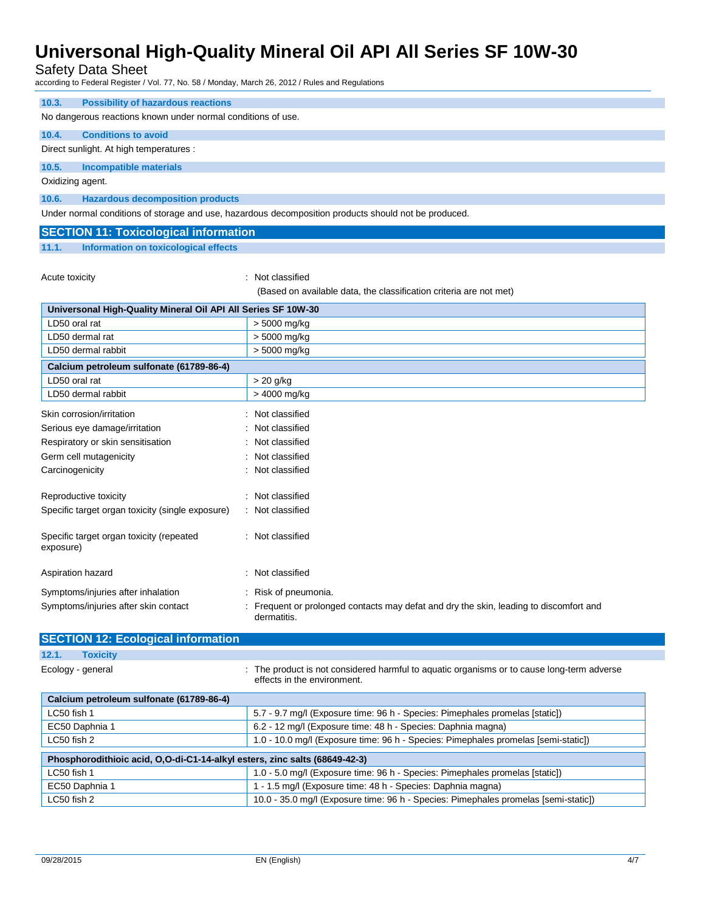Safety Data Sheet

according to Federal Register / Vol. 77, No. 58 / Monday, March 26, 2012 / Rules and Regulations

| <b>Possibility of hazardous reactions</b><br>10.3.            |                                                                                                                           |
|---------------------------------------------------------------|---------------------------------------------------------------------------------------------------------------------------|
| No dangerous reactions known under normal conditions of use.  |                                                                                                                           |
| 10.4.<br><b>Conditions to avoid</b>                           |                                                                                                                           |
| Direct sunlight. At high temperatures :                       |                                                                                                                           |
| 10.5.<br><b>Incompatible materials</b>                        |                                                                                                                           |
| Oxidizing agent.                                              |                                                                                                                           |
| 10.6.<br><b>Hazardous decomposition products</b>              |                                                                                                                           |
|                                                               | Under normal conditions of storage and use, hazardous decomposition products should not be produced.                      |
| <b>SECTION 11: Toxicological information</b>                  |                                                                                                                           |
| <b>Information on toxicological effects</b><br>11.1.          |                                                                                                                           |
|                                                               |                                                                                                                           |
| Acute toxicity                                                | Not classified                                                                                                            |
|                                                               | (Based on available data, the classification criteria are not met)                                                        |
| Universonal High-Quality Mineral Oil API All Series SF 10W-30 |                                                                                                                           |
| LD50 oral rat                                                 | > 5000 mg/kg                                                                                                              |
| LD50 dermal rat                                               | > 5000 mg/kg                                                                                                              |
| LD50 dermal rabbit                                            | > 5000 mg/kg                                                                                                              |
| Calcium petroleum sulfonate (61789-86-4)                      |                                                                                                                           |
| LD50 oral rat                                                 | $> 20$ g/kg                                                                                                               |
| LD50 dermal rabbit                                            | > 4000 mg/kg                                                                                                              |
| Skin corrosion/irritation                                     |                                                                                                                           |
|                                                               | Not classified<br>Not classified                                                                                          |
| Serious eye damage/irritation                                 |                                                                                                                           |
| Respiratory or skin sensitisation                             | Not classified                                                                                                            |
| Germ cell mutagenicity                                        | Not classified                                                                                                            |
| Carcinogenicity                                               | Not classified                                                                                                            |
| Reproductive toxicity                                         | : Not classified                                                                                                          |
| Specific target organ toxicity (single exposure)              | : Not classified                                                                                                          |
|                                                               |                                                                                                                           |
| Specific target organ toxicity (repeated<br>exposure)         | : Not classified                                                                                                          |
|                                                               |                                                                                                                           |
| Aspiration hazard                                             | : Not classified                                                                                                          |
| Symptoms/injuries after inhalation                            | : Risk of pneumonia.                                                                                                      |
| Symptoms/injuries after skin contact                          | : Frequent or prolonged contacts may defat and dry the skin, leading to discomfort and                                    |
|                                                               | dermatitis.                                                                                                               |
| <b>SECTION 12: Ecological information</b>                     |                                                                                                                           |
| 12.1.<br><b>Toxicity</b>                                      |                                                                                                                           |
| Ecology - general                                             | : The product is not considered harmful to aquatic organisms or to cause long-term adverse<br>effects in the environment. |
| Calcium petroleum sulfonate (61789-86-4)                      |                                                                                                                           |
| LC50 fish 1                                                   | 5.7 - 9.7 mg/l (Exposure time: 96 h - Species: Pimephales promelas [static])                                              |
| EC50 Daphnia 1                                                | 6.2 - 12 mg/l (Exposure time: 48 h - Species: Daphnia magna)                                                              |
| $C_{C}$                                                       | 4.0, 40.0 m s// (Europeus time: 00 k. Crosics: Dimenboles russeles formi statist)                                         |

| 1.0 - 10.0 mg/l (Exposure time: 96 h - Species: Pimephales promelas [semi-static])<br>LC50 fish 2 |                                                                                     |  |  |
|---------------------------------------------------------------------------------------------------|-------------------------------------------------------------------------------------|--|--|
| Phosphorodithioic acid, O,O-di-C1-14-alkyl esters, zinc salts (68649-42-3)                        |                                                                                     |  |  |
| LC50 fish 1                                                                                       | 1.0 - 5.0 mg/l (Exposure time: 96 h - Species: Pimephales promelas [static])        |  |  |
| EC50 Daphnia 1                                                                                    | 1 - 1.5 mg/l (Exposure time: 48 h - Species: Daphnia magna)                         |  |  |
| LC50 fish 2                                                                                       | 10.0 - 35.0 mg/l (Exposure time: 96 h - Species: Pimephales promelas [semi-static]) |  |  |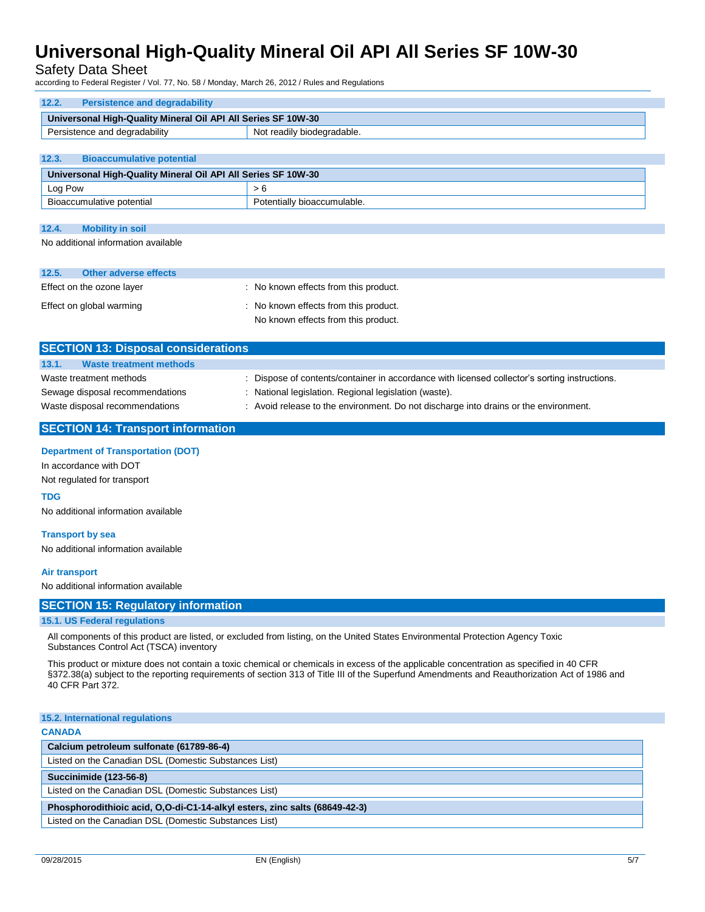Safety Data Sheet

according to Federal Register / Vol. 77, No. 58 / Monday, March 26, 2012 / Rules and Regulations

| Universonal High-Quality Mineral Oil API All Series SF 10W-30 |  |  |  |  |
|---------------------------------------------------------------|--|--|--|--|
| Not readily biodegradable.<br>Persistence and degradability   |  |  |  |  |
|                                                               |  |  |  |  |
| 12.3.<br><b>Bioaccumulative potential</b>                     |  |  |  |  |
| Universonal High-Quality Mineral Oil API All Series SF 10W-30 |  |  |  |  |
| > 6                                                           |  |  |  |  |
| Potentially bioaccumulable.                                   |  |  |  |  |
|                                                               |  |  |  |  |

| 12.4. | <b>Mobility in soil</b>             |
|-------|-------------------------------------|
|       | No additional information available |

| 12.5. | Other adverse effects     |                                       |
|-------|---------------------------|---------------------------------------|
|       | Effect on the ozone layer | No known effects from this product.   |
|       | Effect on global warming  | : No known effects from this product. |
|       |                           | No known effects from this product.   |

| <b>SECTION 13: Disposal considerations</b> |                                |                                                                                               |  |
|--------------------------------------------|--------------------------------|-----------------------------------------------------------------------------------------------|--|
| 13.1.                                      | <b>Waste treatment methods</b> |                                                                                               |  |
| Waste treatment methods                    |                                | : Dispose of contents/container in accordance with licensed collector's sorting instructions. |  |
| Sewage disposal recommendations            |                                | : National legislation. Regional legislation (waste).                                         |  |
| Waste disposal recommendations             |                                | : Avoid release to the environment. Do not discharge into drains or the environment.          |  |
|                                            |                                |                                                                                               |  |

### **SECTION 14: Transport information**

### **Department of Transportation (DOT)**

In accordance with DOT Not regulated for transport

**TDG** 

No additional information available

#### **Transport by sea**

No additional information available

#### **Air transport**

No additional information available

### **SECTION 15: Regulatory information**

### **15.1. US Federal regulations**

All components of this product are listed, or excluded from listing, on the United States Environmental Protection Agency Toxic Substances Control Act (TSCA) inventory

This product or mixture does not contain a toxic chemical or chemicals in excess of the applicable concentration as specified in 40 CFR §372.38(a) subject to the reporting requirements of section 313 of Title III of the Superfund Amendments and Reauthorization Act of 1986 and 40 CFR Part 372.

#### **15.2. International regulations**

#### **CANADA**

| Calcium petroleum sulfonate (61789-86-4)                                   |  |
|----------------------------------------------------------------------------|--|
| Listed on the Canadian DSL (Domestic Substances List)                      |  |
| <b>Succinimide (123-56-8)</b>                                              |  |
| Listed on the Canadian DSL (Domestic Substances List)                      |  |
| Phosphorodithioic acid, O.O-di-C1-14-alkyl esters, zinc salts (68649-42-3) |  |

| Listed on the Canadian DSL (Domestic Substances List)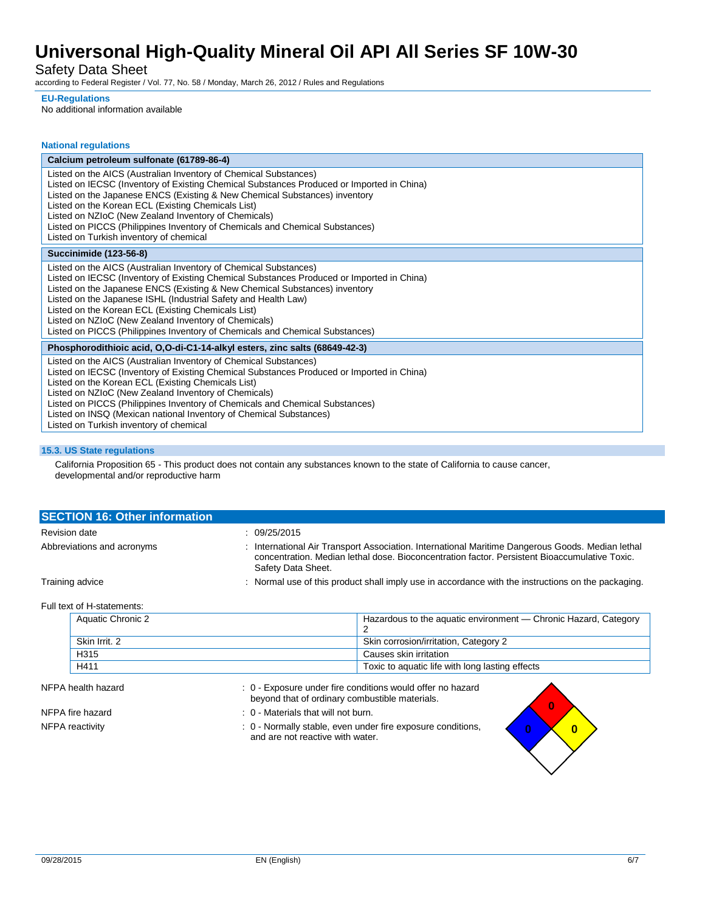Safety Data Sheet

according to Federal Register / Vol. 77, No. 58 / Monday, March 26, 2012 / Rules and Regulations

#### **EU-Regulations**

No additional information available

| <b>National regulations</b>                                                                                                                                                                                                                                                                                                                                                                                                                                                                                 |  |  |
|-------------------------------------------------------------------------------------------------------------------------------------------------------------------------------------------------------------------------------------------------------------------------------------------------------------------------------------------------------------------------------------------------------------------------------------------------------------------------------------------------------------|--|--|
| Calcium petroleum sulfonate (61789-86-4)                                                                                                                                                                                                                                                                                                                                                                                                                                                                    |  |  |
| Listed on the AICS (Australian Inventory of Chemical Substances)<br>Listed on IECSC (Inventory of Existing Chemical Substances Produced or Imported in China)<br>Listed on the Japanese ENCS (Existing & New Chemical Substances) inventory<br>Listed on the Korean ECL (Existing Chemicals List)<br>Listed on NZIoC (New Zealand Inventory of Chemicals)<br>Listed on PICCS (Philippines Inventory of Chemicals and Chemical Substances)<br>Listed on Turkish inventory of chemical                        |  |  |
| <b>Succinimide (123-56-8)</b>                                                                                                                                                                                                                                                                                                                                                                                                                                                                               |  |  |
| Listed on the AICS (Australian Inventory of Chemical Substances)<br>Listed on IECSC (Inventory of Existing Chemical Substances Produced or Imported in China)<br>Listed on the Japanese ENCS (Existing & New Chemical Substances) inventory<br>Listed on the Japanese ISHL (Industrial Safety and Health Law)<br>Listed on the Korean ECL (Existing Chemicals List)<br>Listed on NZIoC (New Zealand Inventory of Chemicals)<br>Listed on PICCS (Philippines Inventory of Chemicals and Chemical Substances) |  |  |
| Phosphorodithioic acid, O,O-di-C1-14-alkyl esters, zinc salts (68649-42-3)                                                                                                                                                                                                                                                                                                                                                                                                                                  |  |  |
| Listed on the AICS (Australian Inventory of Chemical Substances)<br>Listed on IECSC (Inventory of Existing Chemical Substances Produced or Imported in China)<br>Listed on the Korean ECL (Existing Chemicals List)<br>Listed on NZIoC (New Zealand Inventory of Chemicals)<br>Listed on PICCS (Philippines Inventory of Chemicals and Chemical Substances)<br>Listed on INSQ (Mexican national Inventory of Chemical Substances)<br>Listed on Turkish inventory of chemical                                |  |  |

### **15.3. US State regulations**

California Proposition 65 - This product does not contain any substances known to the state of California to cause cancer, developmental and/or reproductive harm

| <b>SECTION 16: Other information</b> |                                                                                                                                                                                                                         |  |
|--------------------------------------|-------------------------------------------------------------------------------------------------------------------------------------------------------------------------------------------------------------------------|--|
| <b>Revision date</b>                 | : 09/25/2015                                                                                                                                                                                                            |  |
| Abbreviations and acronyms           | : International Air Transport Association. International Maritime Dangerous Goods. Median lethal<br>concentration. Median lethal dose. Bioconcentration factor. Persistent Bioaccumulative Toxic.<br>Safety Data Sheet. |  |
| Training advice                      | : Normal use of this product shall imply use in accordance with the instructions on the packaging.                                                                                                                      |  |

### Full text of H-statements:

| Aquatic Chronic 2 | Hazardous to the aquatic environment — Chronic Hazard, Category |
|-------------------|-----------------------------------------------------------------|
| Skin Irrit, 2     | Skin corrosion/irritation, Category 2                           |
| H315              | Causes skin irritation                                          |
| H411              | Toxic to aquatic life with long lasting effects                 |

#### NFPA health hazard **in the state of the state of the state of the state of the state of the state of the SN** in N

|                  | beyond that of ordinary combustible materials.                                                  |  |
|------------------|-------------------------------------------------------------------------------------------------|--|
| NFPA fire hazard | : 0 - Materials that will not burn.                                                             |  |
| NFPA reactivity  | : 0 - Normally stable, even under fire exposure conditions.<br>and are not reactive with water. |  |